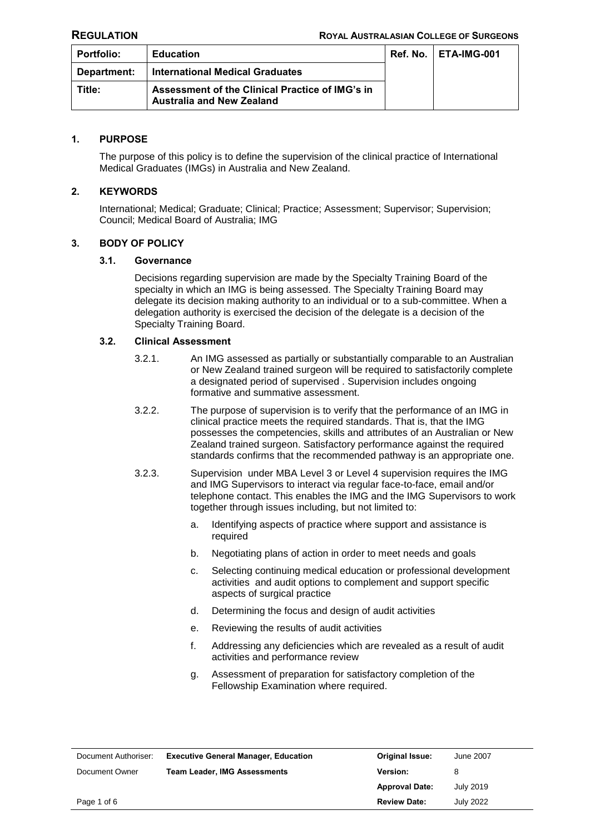| Portfolio:  | <b>Education</b>                                                                    | <b>Ref. No.   ETA-IMG-001</b> |
|-------------|-------------------------------------------------------------------------------------|-------------------------------|
| Department: | <b>International Medical Graduates</b>                                              |                               |
| Title:      | Assessment of the Clinical Practice of IMG's in<br><b>Australia and New Zealand</b> |                               |

## **1. PURPOSE**

The purpose of this policy is to define the supervision of the clinical practice of International Medical Graduates (IMGs) in Australia and New Zealand.

# **2. KEYWORDS**

International; Medical; Graduate; Clinical; Practice; Assessment; Supervisor; Supervision; Council; Medical Board of Australia; IMG

#### **3. BODY OF POLICY**

#### **3.1. Governance**

Decisions regarding supervision are made by the Specialty Training Board of the specialty in which an IMG is being assessed. The Specialty Training Board may delegate its decision making authority to an individual or to a sub-committee. When a delegation authority is exercised the decision of the delegate is a decision of the Specialty Training Board.

#### **3.2. Clinical Assessment**

- 3.2.1. An IMG assessed as partially or substantially comparable to an Australian or New Zealand trained surgeon will be required to satisfactorily complete a designated period of supervised . Supervision includes ongoing formative and summative assessment.
- 3.2.2. The purpose of supervision is to verify that the performance of an IMG in clinical practice meets the required standards. That is, that the IMG possesses the competencies, skills and attributes of an Australian or New Zealand trained surgeon. Satisfactory performance against the required standards confirms that the recommended pathway is an appropriate one.
- 3.2.3. Supervision under MBA Level 3 or Level 4 supervision requires the IMG and IMG Supervisors to interact via regular face-to-face, email and/or telephone contact. This enables the IMG and the IMG Supervisors to work together through issues including, but not limited to:
	- a. Identifying aspects of practice where support and assistance is required
	- b. Negotiating plans of action in order to meet needs and goals
	- c. Selecting continuing medical education or professional development activities and audit options to complement and support specific aspects of surgical practice
	- d. Determining the focus and design of audit activities
	- e. Reviewing the results of audit activities
	- f. Addressing any deficiencies which are revealed as a result of audit activities and performance review
	- g. Assessment of preparation for satisfactory completion of the Fellowship Examination where required.

| Document Authoriser: | <b>Executive General Manager, Education</b> | <b>Original Issue:</b> | June 2007 |
|----------------------|---------------------------------------------|------------------------|-----------|
| Document Owner       | <b>Team Leader, IMG Assessments</b>         | <b>Version:</b>        |           |
|                      |                                             | <b>Approval Date:</b>  | July 2019 |
| Page 1 of 6          |                                             | <b>Review Date:</b>    | July 2022 |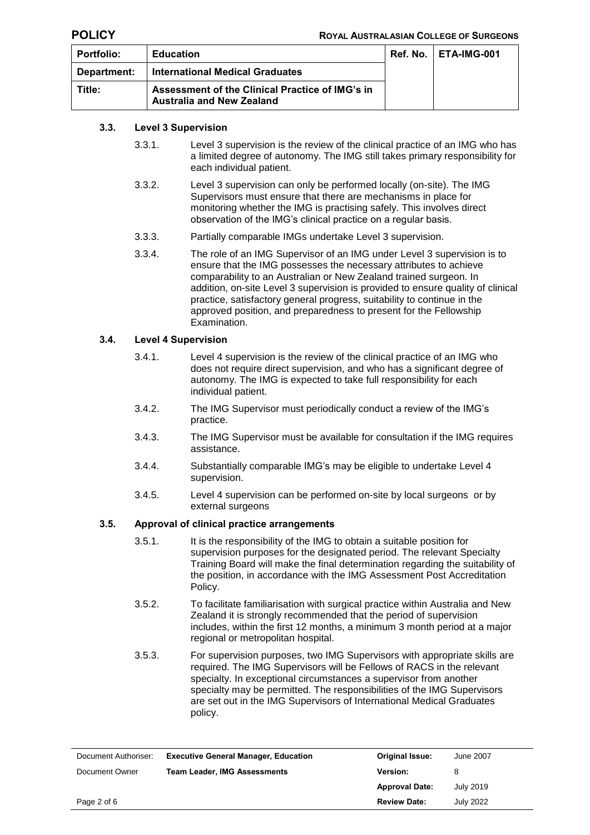| <b>Portfolio:</b> | <b>Education</b>                                                                    | <b>Ref. No.   ETA-IMG-001</b> |
|-------------------|-------------------------------------------------------------------------------------|-------------------------------|
| Department:       | <b>International Medical Graduates</b>                                              |                               |
| Title:            | Assessment of the Clinical Practice of IMG's in<br><b>Australia and New Zealand</b> |                               |

# **3.3. Level 3 Supervision**

- 3.3.1. Level 3 supervision is the review of the clinical practice of an IMG who has a limited degree of autonomy. The IMG still takes primary responsibility for each individual patient.
- 3.3.2. Level 3 supervision can only be performed locally (on-site). The IMG Supervisors must ensure that there are mechanisms in place for monitoring whether the IMG is practising safely. This involves direct observation of the IMG's clinical practice on a regular basis.
- 3.3.3. Partially comparable IMGs undertake Level 3 supervision.
- 3.3.4. The role of an IMG Supervisor of an IMG under Level 3 supervision is to ensure that the IMG possesses the necessary attributes to achieve comparability to an Australian or New Zealand trained surgeon. In addition, on-site Level 3 supervision is provided to ensure quality of clinical practice, satisfactory general progress, suitability to continue in the approved position, and preparedness to present for the Fellowship Examination.

## **3.4. Level 4 Supervision**

- 3.4.1. Level 4 supervision is the review of the clinical practice of an IMG who does not require direct supervision, and who has a significant degree of autonomy. The IMG is expected to take full responsibility for each individual patient.
- 3.4.2. The IMG Supervisor must periodically conduct a review of the IMG's practice.
- 3.4.3. The IMG Supervisor must be available for consultation if the IMG requires assistance.
- 3.4.4. Substantially comparable IMG's may be eligible to undertake Level 4 supervision.
- 3.4.5. Level 4 supervision can be performed on-site by local surgeons or by external surgeons

## **3.5. Approval of clinical practice arrangements**

- 3.5.1. It is the responsibility of the IMG to obtain a suitable position for supervision purposes for the designated period. The relevant Specialty Training Board will make the final determination regarding the suitability of the position, in accordance with the IMG Assessment Post Accreditation Policy.
- 3.5.2. To facilitate familiarisation with surgical practice within Australia and New Zealand it is strongly recommended that the period of supervision includes, within the first 12 months, a minimum 3 month period at a major regional or metropolitan hospital.
- 3.5.3. For supervision purposes, two IMG Supervisors with appropriate skills are required. The IMG Supervisors will be Fellows of RACS in the relevant specialty. In exceptional circumstances a supervisor from another specialty may be permitted. The responsibilities of the IMG Supervisors are set out in the IMG Supervisors of International Medical Graduates policy.

| Document Authoriser: | <b>Executive General Manager, Education</b> | <b>Original Issue:</b> | June 2007        |
|----------------------|---------------------------------------------|------------------------|------------------|
| Document Owner       | <b>Team Leader, IMG Assessments</b>         | <b>Version:</b>        |                  |
|                      |                                             | <b>Approval Date:</b>  | July 2019        |
| Page 2 of 6          |                                             | <b>Review Date:</b>    | <b>July 2022</b> |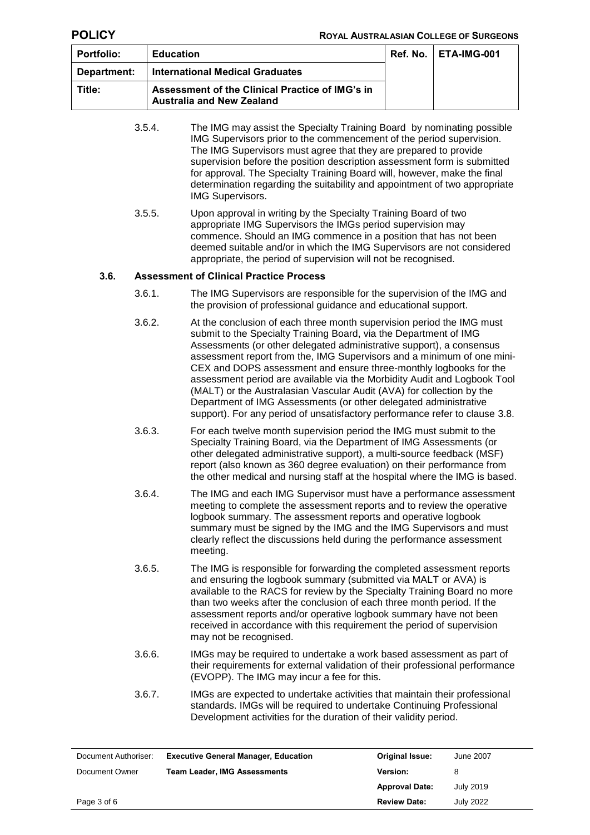| <b>Portfolio:</b> | <b>Education</b>                                                                    | <b>Ref. No.   ETA-IMG-001</b> |
|-------------------|-------------------------------------------------------------------------------------|-------------------------------|
| Department:       | <b>International Medical Graduates</b>                                              |                               |
| Title:            | Assessment of the Clinical Practice of IMG's in<br><b>Australia and New Zealand</b> |                               |

|      | 3.5.4. | The IMG may assist the Specialty Training Board by nominating possible<br>IMG Supervisors prior to the commencement of the period supervision.<br>The IMG Supervisors must agree that they are prepared to provide<br>supervision before the position description assessment form is submitted<br>for approval. The Specialty Training Board will, however, make the final<br>determination regarding the suitability and appointment of two appropriate<br><b>IMG Supervisors.</b>                                                                                                                                                                                       |
|------|--------|---------------------------------------------------------------------------------------------------------------------------------------------------------------------------------------------------------------------------------------------------------------------------------------------------------------------------------------------------------------------------------------------------------------------------------------------------------------------------------------------------------------------------------------------------------------------------------------------------------------------------------------------------------------------------|
|      | 3.5.5. | Upon approval in writing by the Specialty Training Board of two<br>appropriate IMG Supervisors the IMGs period supervision may<br>commence. Should an IMG commence in a position that has not been<br>deemed suitable and/or in which the IMG Supervisors are not considered<br>appropriate, the period of supervision will not be recognised.                                                                                                                                                                                                                                                                                                                            |
| 3.6. |        | <b>Assessment of Clinical Practice Process</b>                                                                                                                                                                                                                                                                                                                                                                                                                                                                                                                                                                                                                            |
|      | 3.6.1. | The IMG Supervisors are responsible for the supervision of the IMG and<br>the provision of professional guidance and educational support.                                                                                                                                                                                                                                                                                                                                                                                                                                                                                                                                 |
|      | 3.6.2. | At the conclusion of each three month supervision period the IMG must<br>submit to the Specialty Training Board, via the Department of IMG<br>Assessments (or other delegated administrative support), a consensus<br>assessment report from the, IMG Supervisors and a minimum of one mini-<br>CEX and DOPS assessment and ensure three-monthly logbooks for the<br>assessment period are available via the Morbidity Audit and Logbook Tool<br>(MALT) or the Australasian Vascular Audit (AVA) for collection by the<br>Department of IMG Assessments (or other delegated administrative<br>support). For any period of unsatisfactory performance refer to clause 3.8. |
|      | 3.6.3. | For each twelve month supervision period the IMG must submit to the<br>Specialty Training Board, via the Department of IMG Assessments (or<br>other delegated administrative support), a multi-source feedback (MSF)<br>report (also known as 360 degree evaluation) on their performance from<br>the other medical and nursing staff at the hospital where the IMG is based.                                                                                                                                                                                                                                                                                             |
|      | 3.6.4. | The IMG and each IMG Supervisor must have a performance assessment<br>meeting to complete the assessment reports and to review the operative<br>logbook summary. The assessment reports and operative logbook<br>summary must be signed by the IMG and the IMG Supervisors and must<br>clearly reflect the discussions held during the performance assessment<br>meeting.                                                                                                                                                                                                                                                                                                 |
|      | 3.6.5. | The IMG is responsible for forwarding the completed assessment reports<br>and ensuring the logbook summary (submitted via MALT or AVA) is<br>available to the RACS for review by the Specialty Training Board no more<br>than two weeks after the conclusion of each three month period. If the<br>assessment reports and/or operative logbook summary have not been<br>received in accordance with this requirement the period of supervision<br>may not be recognised.                                                                                                                                                                                                  |
|      | 3.6.6. | IMGs may be required to undertake a work based assessment as part of<br>their requirements for external validation of their professional performance<br>(EVOPP). The IMG may incur a fee for this.                                                                                                                                                                                                                                                                                                                                                                                                                                                                        |
|      |        |                                                                                                                                                                                                                                                                                                                                                                                                                                                                                                                                                                                                                                                                           |

3.6.7. IMGs are expected to undertake activities that maintain their professional standards. IMGs will be required to undertake Continuing Professional Development activities for the duration of their validity period.

| Document Authoriser: | <b>Executive General Manager, Education</b> | <b>Original Issue:</b> | June 2007 |
|----------------------|---------------------------------------------|------------------------|-----------|
| Document Owner       | <b>Team Leader, IMG Assessments</b>         | <b>Version:</b>        | 8         |
|                      |                                             | <b>Approval Date:</b>  | July 2019 |
| Page 3 of 6          |                                             | <b>Review Date:</b>    | July 2022 |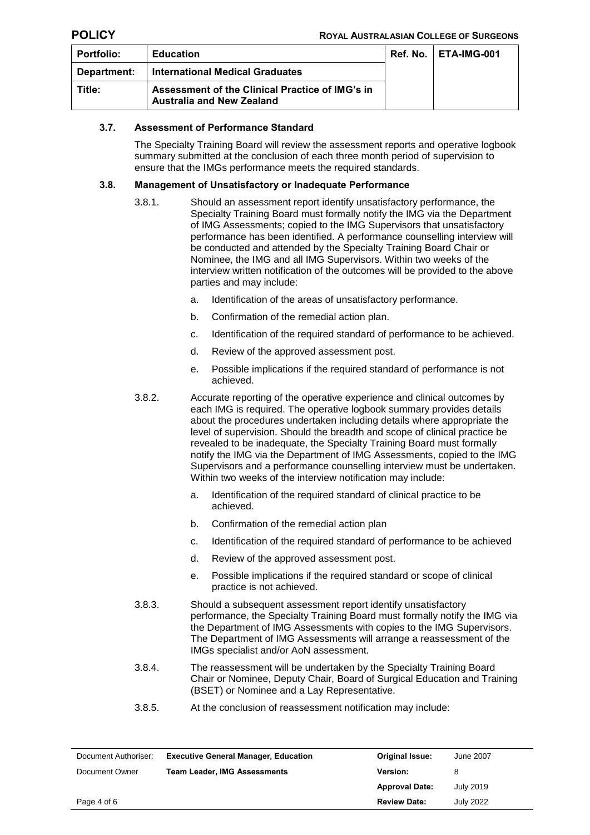| <b>Portfolio:</b> | <b>Education</b>                                                                    | <b>Ref. No.   ETA-IMG-001</b> |
|-------------------|-------------------------------------------------------------------------------------|-------------------------------|
| Department:       | <b>International Medical Graduates</b>                                              |                               |
| Title:            | Assessment of the Clinical Practice of IMG's in<br><b>Australia and New Zealand</b> |                               |

## **3.7. Assessment of Performance Standard**

The Specialty Training Board will review the assessment reports and operative logbook summary submitted at the conclusion of each three month period of supervision to ensure that the IMGs performance meets the required standards.

## <span id="page-3-0"></span>**3.8. Management of Unsatisfactory or Inadequate Performance**

- 3.8.1. Should an assessment report identify unsatisfactory performance, the Specialty Training Board must formally notify the IMG via the Department of IMG Assessments; copied to the IMG Supervisors that unsatisfactory performance has been identified. A performance counselling interview will be conducted and attended by the Specialty Training Board Chair or Nominee, the IMG and all IMG Supervisors. Within two weeks of the interview written notification of the outcomes will be provided to the above parties and may include:
	- a. Identification of the areas of unsatisfactory performance.
	- b. Confirmation of the remedial action plan.
	- c. Identification of the required standard of performance to be achieved.
	- d. Review of the approved assessment post.
	- e. Possible implications if the required standard of performance is not achieved.
- 3.8.2. Accurate reporting of the operative experience and clinical outcomes by each IMG is required. The operative logbook summary provides details about the procedures undertaken including details where appropriate the level of supervision. Should the breadth and scope of clinical practice be revealed to be inadequate, the Specialty Training Board must formally notify the IMG via the Department of IMG Assessments, copied to the IMG Supervisors and a performance counselling interview must be undertaken. Within two weeks of the interview notification may include:
	- a. Identification of the required standard of clinical practice to be achieved.
	- b. Confirmation of the remedial action plan
	- c. Identification of the required standard of performance to be achieved
	- d. Review of the approved assessment post.
	- e. Possible implications if the required standard or scope of clinical practice is not achieved.
- 3.8.3. Should a subsequent assessment report identify unsatisfactory performance, the Specialty Training Board must formally notify the IMG via the Department of IMG Assessments with copies to the IMG Supervisors. The Department of IMG Assessments will arrange a reassessment of the IMGs specialist and/or AoN assessment.
- 3.8.4. The reassessment will be undertaken by the Specialty Training Board Chair or Nominee, Deputy Chair, Board of Surgical Education and Training (BSET) or Nominee and a Lay Representative.
- 3.8.5. At the conclusion of reassessment notification may include:

| Document Authoriser: | <b>Executive General Manager, Education</b> | <b>Original Issue:</b> | June 2007        |
|----------------------|---------------------------------------------|------------------------|------------------|
| Document Owner       | <b>Team Leader, IMG Assessments</b>         | <b>Version:</b>        |                  |
|                      |                                             | <b>Approval Date:</b>  | <b>July 2019</b> |
| Page 4 of 6          |                                             | <b>Review Date:</b>    | July 2022        |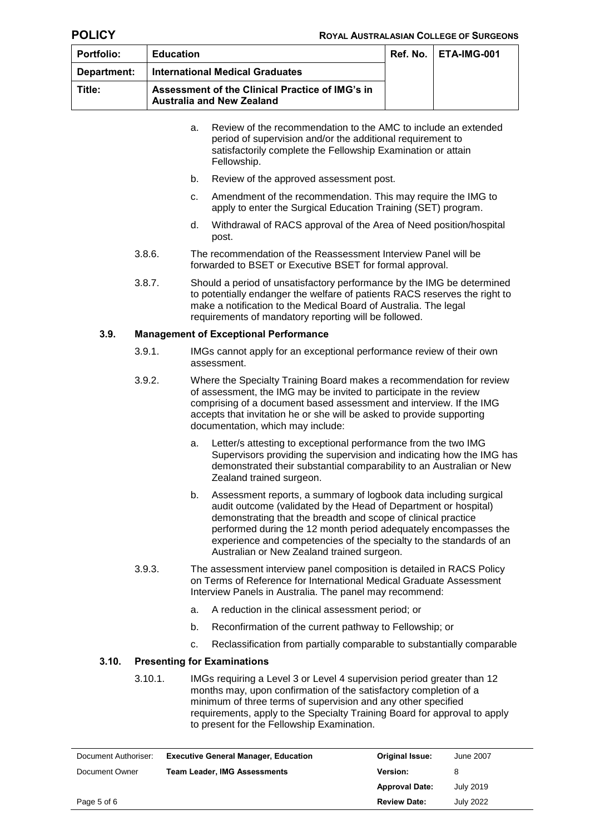| <b>Portfolio:</b> | <b>Education</b>                                                                    | <b>Ref. No.   ETA-IMG-001</b> |
|-------------------|-------------------------------------------------------------------------------------|-------------------------------|
| Department:       | <b>International Medical Graduates</b>                                              |                               |
| Title:            | Assessment of the Clinical Practice of IMG's in<br><b>Australia and New Zealand</b> |                               |

|       |         | a. | Review of the recommendation to the AMC to include an extended<br>period of supervision and/or the additional requirement to<br>satisfactorily complete the Fellowship Examination or attain<br>Fellowship.                                                                                                                                                                                  |
|-------|---------|----|----------------------------------------------------------------------------------------------------------------------------------------------------------------------------------------------------------------------------------------------------------------------------------------------------------------------------------------------------------------------------------------------|
|       |         | b. | Review of the approved assessment post.                                                                                                                                                                                                                                                                                                                                                      |
|       |         | c. | Amendment of the recommendation. This may require the IMG to<br>apply to enter the Surgical Education Training (SET) program.                                                                                                                                                                                                                                                                |
|       |         | d. | Withdrawal of RACS approval of the Area of Need position/hospital<br>post.                                                                                                                                                                                                                                                                                                                   |
|       | 3.8.6.  |    | The recommendation of the Reassessment Interview Panel will be<br>forwarded to BSET or Executive BSET for formal approval.                                                                                                                                                                                                                                                                   |
|       | 3.8.7.  |    | Should a period of unsatisfactory performance by the IMG be determined<br>to potentially endanger the welfare of patients RACS reserves the right to<br>make a notification to the Medical Board of Australia. The legal<br>requirements of mandatory reporting will be followed.                                                                                                            |
| 3.9.  |         |    | <b>Management of Exceptional Performance</b>                                                                                                                                                                                                                                                                                                                                                 |
|       | 3.9.1.  |    | IMGs cannot apply for an exceptional performance review of their own<br>assessment.                                                                                                                                                                                                                                                                                                          |
|       | 3.9.2.  |    | Where the Specialty Training Board makes a recommendation for review<br>of assessment, the IMG may be invited to participate in the review<br>comprising of a document based assessment and interview. If the IMG<br>accepts that invitation he or she will be asked to provide supporting<br>documentation, which may include:                                                              |
|       |         | a. | Letter/s attesting to exceptional performance from the two IMG<br>Supervisors providing the supervision and indicating how the IMG has<br>demonstrated their substantial comparability to an Australian or New<br>Zealand trained surgeon.                                                                                                                                                   |
|       |         | b. | Assessment reports, a summary of logbook data including surgical<br>audit outcome (validated by the Head of Department or hospital)<br>demonstrating that the breadth and scope of clinical practice<br>performed during the 12 month period adequately encompasses the<br>experience and competencies of the specialty to the standards of an<br>Australian or New Zealand trained surgeon. |
|       | 3.9.3.  |    | The assessment interview panel composition is detailed in RACS Policy<br>on Terms of Reference for International Medical Graduate Assessment<br>Interview Panels in Australia. The panel may recommend:                                                                                                                                                                                      |
|       |         | a. | A reduction in the clinical assessment period; or                                                                                                                                                                                                                                                                                                                                            |
|       |         | b. | Reconfirmation of the current pathway to Fellowship; or                                                                                                                                                                                                                                                                                                                                      |
|       |         | c. | Reclassification from partially comparable to substantially comparable                                                                                                                                                                                                                                                                                                                       |
| 3.10. |         |    | <b>Presenting for Examinations</b>                                                                                                                                                                                                                                                                                                                                                           |
|       | 3.10.1. |    | IMGs requiring a Level 3 or Level 4 supervision period greater than 12<br>months may, upon confirmation of the satisfactory completion of a<br>minimum of three terms of supervision and any other specified<br>requirements, apply to the Specialty Training Board for approval to apply                                                                                                    |

| Document Authoriser: | <b>Executive General Manager, Education</b> | <b>Original Issue:</b> | June 2007 |
|----------------------|---------------------------------------------|------------------------|-----------|
| Document Owner       | <b>Team Leader, IMG Assessments</b>         | <b>Version:</b>        | 8         |
|                      |                                             | <b>Approval Date:</b>  | July 2019 |
| Page 5 of 6          |                                             | <b>Review Date:</b>    | July 2022 |

to present for the Fellowship Examination.